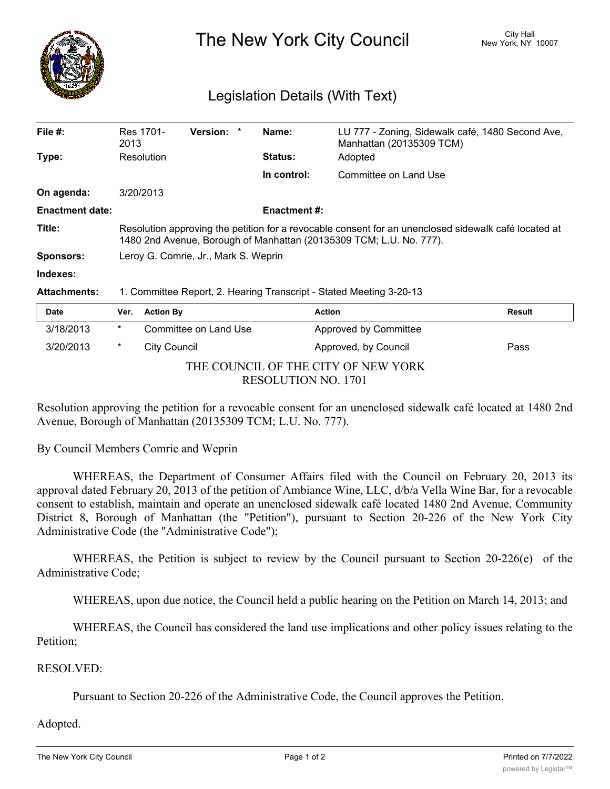

The New York City Council New York, NY 10007

## Legislation Details (With Text)

| File $#$ :             | Res 1701-<br>2013                                                                                                                                                           | <b>Version:</b><br>$\star$ | Name:               | LU 777 - Zoning, Sidewalk café, 1480 Second Ave,<br>Manhattan (20135309 TCM) |               |  |  |
|------------------------|-----------------------------------------------------------------------------------------------------------------------------------------------------------------------------|----------------------------|---------------------|------------------------------------------------------------------------------|---------------|--|--|
| Type:                  | Resolution                                                                                                                                                                  |                            | <b>Status:</b>      | Adopted                                                                      |               |  |  |
|                        |                                                                                                                                                                             |                            | In control:         | Committee on Land Use                                                        |               |  |  |
| On agenda:             | 3/20/2013                                                                                                                                                                   |                            |                     |                                                                              |               |  |  |
| <b>Enactment date:</b> |                                                                                                                                                                             |                            | <b>Enactment #:</b> |                                                                              |               |  |  |
| Title:                 | Resolution approving the petition for a revocable consent for an unenclosed sidewalk café located at<br>1480 2nd Avenue, Borough of Manhattan (20135309 TCM; L.U. No. 777). |                            |                     |                                                                              |               |  |  |
| <b>Sponsors:</b>       | Leroy G. Comrie, Jr., Mark S. Weprin                                                                                                                                        |                            |                     |                                                                              |               |  |  |
| Indexes:               |                                                                                                                                                                             |                            |                     |                                                                              |               |  |  |
| <b>Attachments:</b>    | 1. Committee Report, 2. Hearing Transcript - Stated Meeting 3-20-13                                                                                                         |                            |                     |                                                                              |               |  |  |
| Date                   | <b>Action By</b><br>Ver.                                                                                                                                                    |                            |                     | Action                                                                       | <b>Result</b> |  |  |
| 3/18/2013              | $\star$                                                                                                                                                                     | Committee on Land Use      |                     | Approved by Committee                                                        |               |  |  |

| 3/20/2013 | City Council        | Approved, by Council                | Pass |  |
|-----------|---------------------|-------------------------------------|------|--|
|           |                     | THE COUNCIL OF THE CITY OF NEW YORK |      |  |
|           | RESOLUTION NO. 1701 |                                     |      |  |

Resolution approving the petition for a revocable consent for an unenclosed sidewalk café located at 1480 2nd Avenue, Borough of Manhattan (20135309 TCM; L.U. No. 777).

By Council Members Comrie and Weprin

WHEREAS, the Department of Consumer Affairs filed with the Council on February 20, 2013 its approval dated February 20, 2013 of the petition of Ambiance Wine, LLC, d/b/a Vella Wine Bar, for a revocable consent to establish, maintain and operate an unenclosed sidewalk café located 1480 2nd Avenue, Community District 8, Borough of Manhattan (the "Petition"), pursuant to Section 20-226 of the New York City Administrative Code (the "Administrative Code");

WHEREAS, the Petition is subject to review by the Council pursuant to Section 20-226(e) of the Administrative Code;

WHEREAS, upon due notice, the Council held a public hearing on the Petition on March 14, 2013; and

WHEREAS, the Council has considered the land use implications and other policy issues relating to the Petition;

## RESOLVED:

Pursuant to Section 20-226 of the Administrative Code, the Council approves the Petition.

## Adopted.